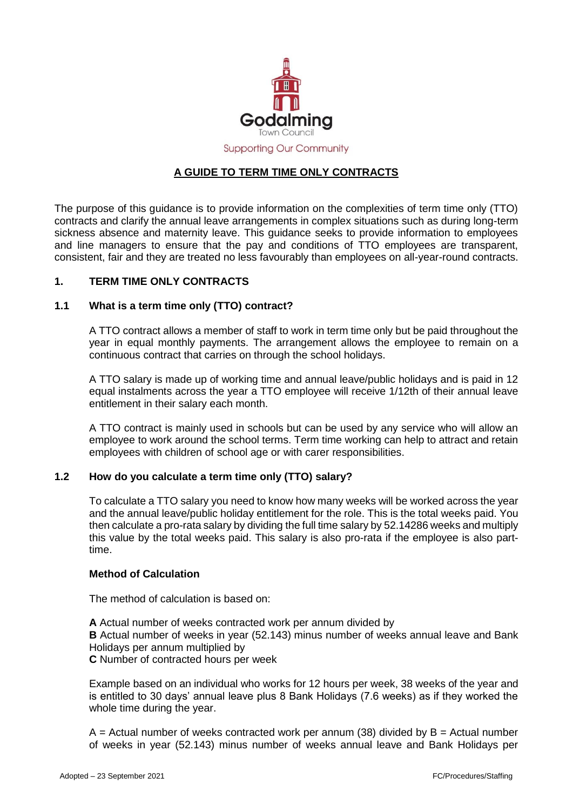

# **A GUIDE TO TERM TIME ONLY CONTRACTS**

The purpose of this guidance is to provide information on the complexities of term time only (TTO) contracts and clarify the annual leave arrangements in complex situations such as during long-term sickness absence and maternity leave. This guidance seeks to provide information to employees and line managers to ensure that the pay and conditions of TTO employees are transparent, consistent, fair and they are treated no less favourably than employees on all-year-round contracts.

### **1. TERM TIME ONLY CONTRACTS**

### **1.1 What is a term time only (TTO) contract?**

A TTO contract allows a member of staff to work in term time only but be paid throughout the year in equal monthly payments. The arrangement allows the employee to remain on a continuous contract that carries on through the school holidays.

A TTO salary is made up of working time and annual leave/public holidays and is paid in 12 equal instalments across the year a TTO employee will receive 1/12th of their annual leave entitlement in their salary each month.

A TTO contract is mainly used in schools but can be used by any service who will allow an employee to work around the school terms. Term time working can help to attract and retain employees with children of school age or with carer responsibilities.

# **1.2 How do you calculate a term time only (TTO) salary?**

To calculate a TTO salary you need to know how many weeks will be worked across the year and the annual leave/public holiday entitlement for the role. This is the total weeks paid. You then calculate a pro-rata salary by dividing the full time salary by 52.14286 weeks and multiply this value by the total weeks paid. This salary is also pro-rata if the employee is also parttime.

### **Method of Calculation**

The method of calculation is based on:

**A** Actual number of weeks contracted work per annum divided by **B** Actual number of weeks in year (52.143) minus number of weeks annual leave and Bank Holidays per annum multiplied by

**C** Number of contracted hours per week

Example based on an individual who works for 12 hours per week, 38 weeks of the year and is entitled to 30 days' annual leave plus 8 Bank Holidays (7.6 weeks) as if they worked the whole time during the year.

 $A =$  Actual number of weeks contracted work per annum (38) divided by  $B =$  Actual number of weeks in year (52.143) minus number of weeks annual leave and Bank Holidays per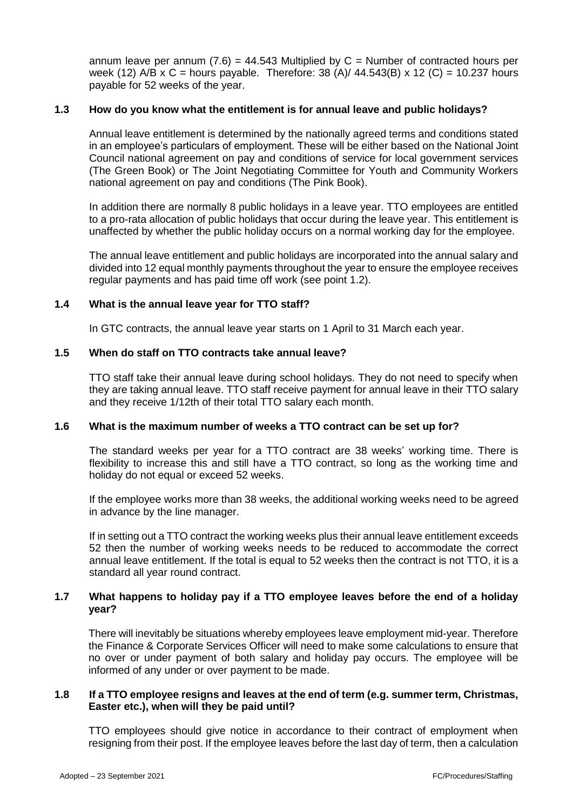annum leave per annum  $(7.6) = 44.543$  Multiplied by C = Number of contracted hours per week (12) A/B x C = hours payable. Therefore:  $38 (A)/ 44.543(B) \times 12 (C) = 10.237$  hours payable for 52 weeks of the year.

### **1.3 How do you know what the entitlement is for annual leave and public holidays?**

Annual leave entitlement is determined by the nationally agreed terms and conditions stated in an employee's particulars of employment. These will be either based on the National Joint Council national agreement on pay and conditions of service for local government services (The Green Book) or The Joint Negotiating Committee for Youth and Community Workers national agreement on pay and conditions (The Pink Book).

In addition there are normally 8 public holidays in a leave year. TTO employees are entitled to a pro-rata allocation of public holidays that occur during the leave year. This entitlement is unaffected by whether the public holiday occurs on a normal working day for the employee.

The annual leave entitlement and public holidays are incorporated into the annual salary and divided into 12 equal monthly payments throughout the year to ensure the employee receives regular payments and has paid time off work (see point 1.2).

### **1.4 What is the annual leave year for TTO staff?**

In GTC contracts, the annual leave year starts on 1 April to 31 March each year.

### **1.5 When do staff on TTO contracts take annual leave?**

TTO staff take their annual leave during school holidays. They do not need to specify when they are taking annual leave. TTO staff receive payment for annual leave in their TTO salary and they receive 1/12th of their total TTO salary each month.

### **1.6 What is the maximum number of weeks a TTO contract can be set up for?**

The standard weeks per year for a TTO contract are 38 weeks' working time. There is flexibility to increase this and still have a TTO contract, so long as the working time and holiday do not equal or exceed 52 weeks.

If the employee works more than 38 weeks, the additional working weeks need to be agreed in advance by the line manager.

If in setting out a TTO contract the working weeks plus their annual leave entitlement exceeds 52 then the number of working weeks needs to be reduced to accommodate the correct annual leave entitlement. If the total is equal to 52 weeks then the contract is not TTO, it is a standard all year round contract.

## **1.7 What happens to holiday pay if a TTO employee leaves before the end of a holiday year?**

There will inevitably be situations whereby employees leave employment mid-year. Therefore the Finance & Corporate Services Officer will need to make some calculations to ensure that no over or under payment of both salary and holiday pay occurs. The employee will be informed of any under or over payment to be made.

### **1.8 If a TTO employee resigns and leaves at the end of term (e.g. summer term, Christmas, Easter etc.), when will they be paid until?**

TTO employees should give notice in accordance to their contract of employment when resigning from their post. If the employee leaves before the last day of term, then a calculation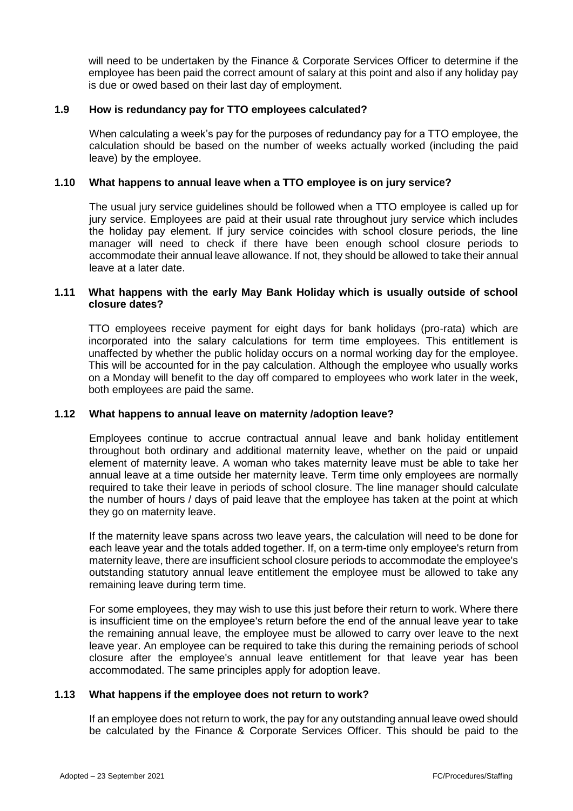will need to be undertaken by the Finance & Corporate Services Officer to determine if the employee has been paid the correct amount of salary at this point and also if any holiday pay is due or owed based on their last day of employment.

### **1.9 How is redundancy pay for TTO employees calculated?**

When calculating a week's pay for the purposes of redundancy pay for a TTO employee, the calculation should be based on the number of weeks actually worked (including the paid leave) by the employee.

### **1.10 What happens to annual leave when a TTO employee is on jury service?**

The usual jury service guidelines should be followed when a TTO employee is called up for jury service. Employees are paid at their usual rate throughout jury service which includes the holiday pay element. If jury service coincides with school closure periods, the line manager will need to check if there have been enough school closure periods to accommodate their annual leave allowance. If not, they should be allowed to take their annual leave at a later date.

### **1.11 What happens with the early May Bank Holiday which is usually outside of school closure dates?**

TTO employees receive payment for eight days for bank holidays (pro-rata) which are incorporated into the salary calculations for term time employees. This entitlement is unaffected by whether the public holiday occurs on a normal working day for the employee. This will be accounted for in the pay calculation. Although the employee who usually works on a Monday will benefit to the day off compared to employees who work later in the week, both employees are paid the same.

### **1.12 What happens to annual leave on maternity /adoption leave?**

Employees continue to accrue contractual annual leave and bank holiday entitlement throughout both ordinary and additional maternity leave, whether on the paid or unpaid element of maternity leave. A woman who takes maternity leave must be able to take her annual leave at a time outside her maternity leave. Term time only employees are normally required to take their leave in periods of school closure. The line manager should calculate the number of hours / days of paid leave that the employee has taken at the point at which they go on maternity leave.

If the maternity leave spans across two leave years, the calculation will need to be done for each leave year and the totals added together. If, on a term-time only employee's return from maternity leave, there are insufficient school closure periods to accommodate the employee's outstanding statutory annual leave entitlement the employee must be allowed to take any remaining leave during term time.

For some employees, they may wish to use this just before their return to work. Where there is insufficient time on the employee's return before the end of the annual leave year to take the remaining annual leave, the employee must be allowed to carry over leave to the next leave year. An employee can be required to take this during the remaining periods of school closure after the employee's annual leave entitlement for that leave year has been accommodated. The same principles apply for adoption leave.

### **1.13 What happens if the employee does not return to work?**

If an employee does not return to work, the pay for any outstanding annual leave owed should be calculated by the Finance & Corporate Services Officer. This should be paid to the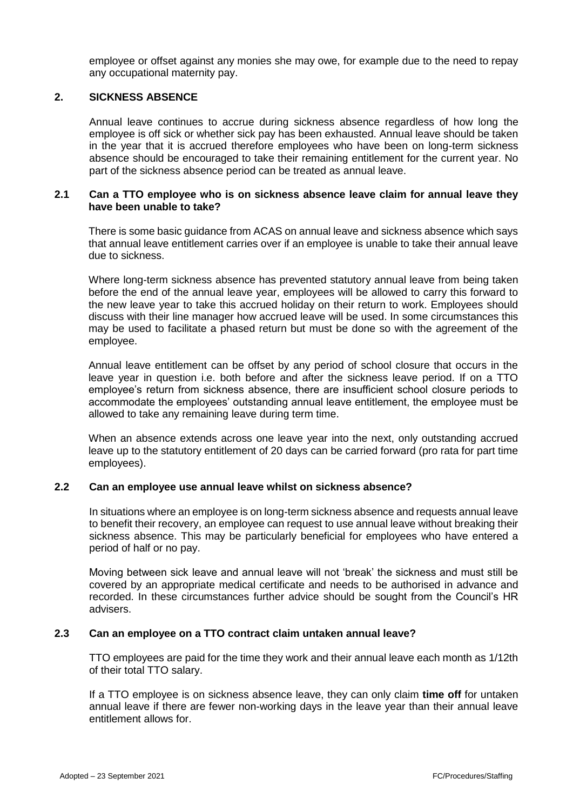employee or offset against any monies she may owe, for example due to the need to repay any occupational maternity pay.

### **2. SICKNESS ABSENCE**

Annual leave continues to accrue during sickness absence regardless of how long the employee is off sick or whether sick pay has been exhausted. Annual leave should be taken in the year that it is accrued therefore employees who have been on long-term sickness absence should be encouraged to take their remaining entitlement for the current year. No part of the sickness absence period can be treated as annual leave.

### **2.1 Can a TTO employee who is on sickness absence leave claim for annual leave they have been unable to take?**

There is some basic guidance from ACAS on annual leave and sickness absence which says that annual leave entitlement carries over if an employee is unable to take their annual leave due to sickness.

Where long-term sickness absence has prevented statutory annual leave from being taken before the end of the annual leave year, employees will be allowed to carry this forward to the new leave year to take this accrued holiday on their return to work. Employees should discuss with their line manager how accrued leave will be used. In some circumstances this may be used to facilitate a phased return but must be done so with the agreement of the employee.

Annual leave entitlement can be offset by any period of school closure that occurs in the leave year in question i.e. both before and after the sickness leave period. If on a TTO employee's return from sickness absence, there are insufficient school closure periods to accommodate the employees' outstanding annual leave entitlement, the employee must be allowed to take any remaining leave during term time.

When an absence extends across one leave year into the next, only outstanding accrued leave up to the statutory entitlement of 20 days can be carried forward (pro rata for part time employees).

### **2.2 Can an employee use annual leave whilst on sickness absence?**

In situations where an employee is on long-term sickness absence and requests annual leave to benefit their recovery, an employee can request to use annual leave without breaking their sickness absence. This may be particularly beneficial for employees who have entered a period of half or no pay.

Moving between sick leave and annual leave will not 'break' the sickness and must still be covered by an appropriate medical certificate and needs to be authorised in advance and recorded. In these circumstances further advice should be sought from the Council's HR advisers.

### **2.3 Can an employee on a TTO contract claim untaken annual leave?**

TTO employees are paid for the time they work and their annual leave each month as 1/12th of their total TTO salary.

If a TTO employee is on sickness absence leave, they can only claim **time off** for untaken annual leave if there are fewer non-working days in the leave year than their annual leave entitlement allows for.